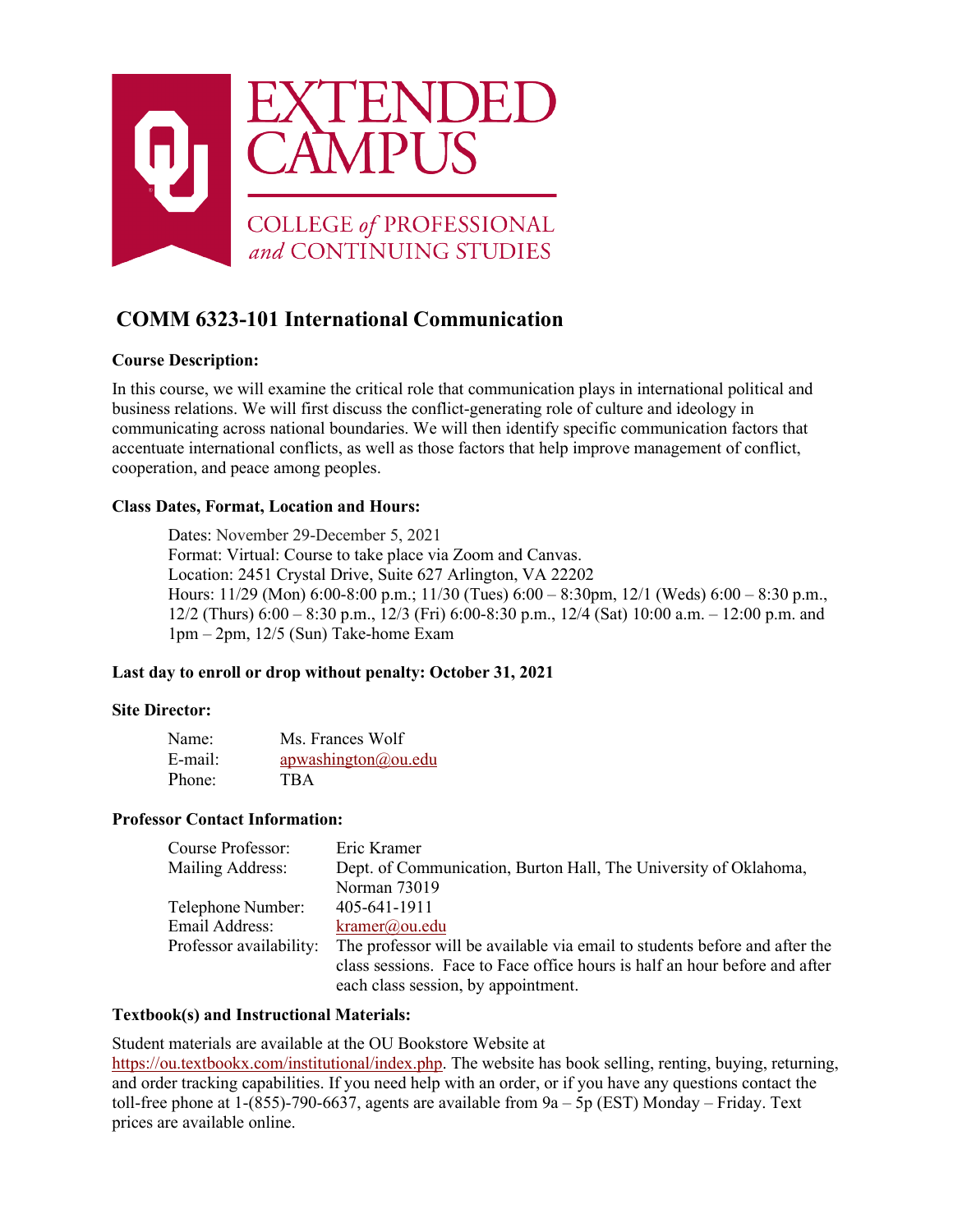

# **COMM 6323-101 International Communication**

## **Course Description:**

In this course, we will examine the critical role that communication plays in international political and business relations. We will first discuss the conflict-generating role of culture and ideology in communicating across national boundaries. We will then identify specific communication factors that accentuate international conflicts, as well as those factors that help improve management of conflict, cooperation, and peace among peoples.

## **Class Dates, Format, Location and Hours:**

Dates: November 29-December 5, 2021 Format: Virtual: Course to take place via Zoom and Canvas. Location: 2451 Crystal Drive, Suite 627 Arlington, VA 22202 Hours: 11/29 (Mon) 6:00-8:00 p.m.; 11/30 (Tues) 6:00 – 8:30pm, 12/1 (Weds) 6:00 – 8:30 p.m., 12/2 (Thurs) 6:00 – 8:30 p.m., 12/3 (Fri) 6:00-8:30 p.m., 12/4 (Sat) 10:00 a.m. – 12:00 p.m. and 1pm – 2pm, 12/5 (Sun) Take-home Exam

## **Last day to enroll or drop without penalty: October 31, 2021**

#### **Site Director:**

| Name:   | Ms. Frances Wolf    |
|---------|---------------------|
| E-mail: | apwashington@ou.edu |
| Phone:  | <b>TBA</b>          |

#### **Professor Contact Information:**

| Course Professor:       | Eric Kramer                                                                |
|-------------------------|----------------------------------------------------------------------------|
| <b>Mailing Address:</b> | Dept. of Communication, Burton Hall, The University of Oklahoma,           |
|                         | Norman 73019                                                               |
| Telephone Number:       | 405-641-1911                                                               |
| Email Address:          | kramer@ou.edu                                                              |
| Professor availability: | The professor will be available via email to students before and after the |
|                         | class sessions. Face to Face office hours is half an hour before and after |
|                         | each class session, by appointment.                                        |

#### **Textbook(s) and Instructional Materials:**

Student materials are available at the OU Bookstore Website at [https://ou.textbookx.com/institutional/index.php.](https://ou.textbookx.com/institutional/index.php) The website has book selling, renting, buying, returning, and order tracking capabilities. If you need help with an order, or if you have any questions contact the toll-free phone at 1-(855)-790-6637, agents are available from 9a – 5p (EST) Monday – Friday. Text prices are available online.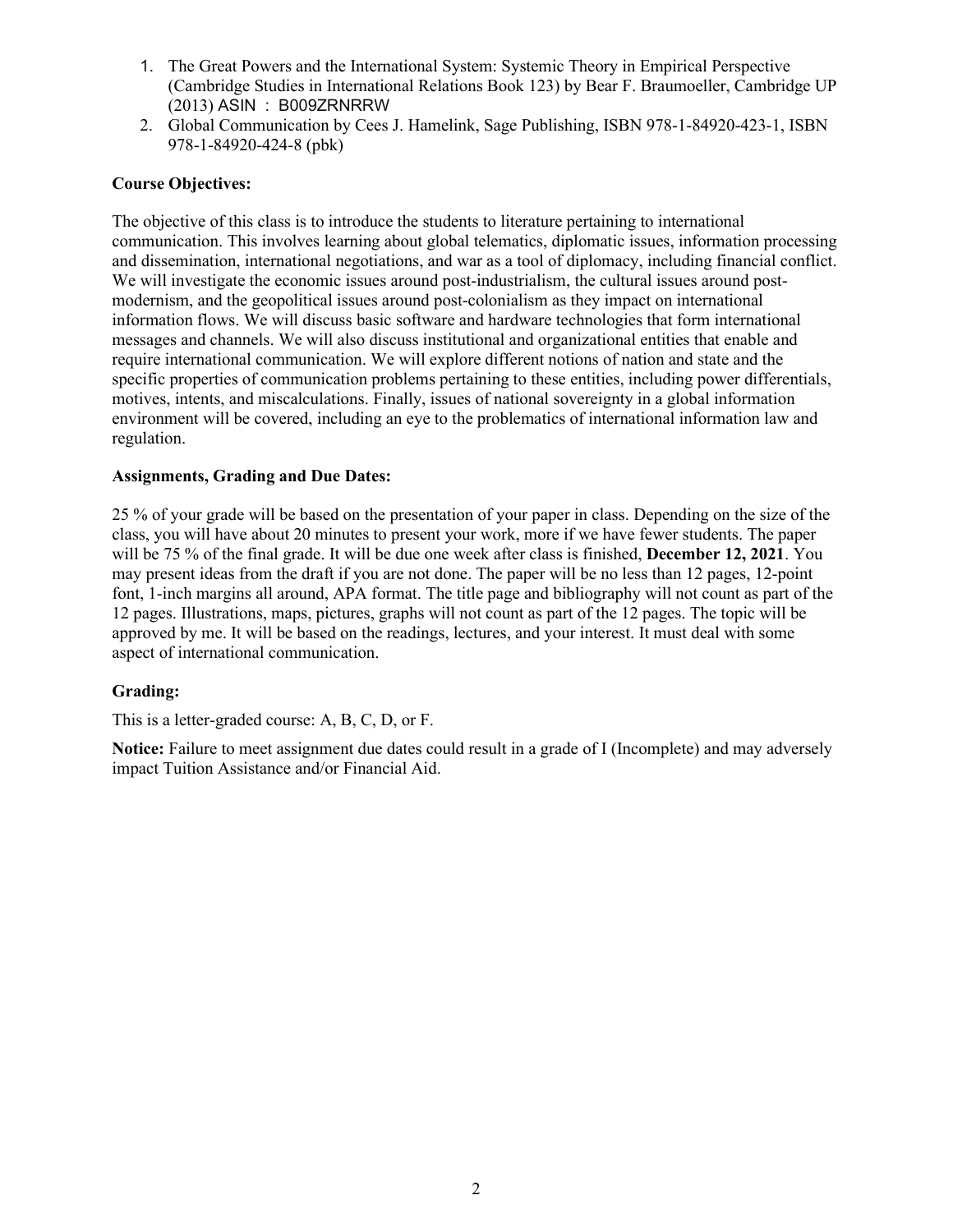- 1. The Great Powers and the International System: Systemic Theory in Empirical Perspective (Cambridge Studies in International Relations Book 123) by Bear F. Braumoeller, Cambridge UP (2013) ASIN : B009ZRNRRW
- 2. Global Communication by Cees J. Hamelink, Sage Publishing, ISBN 978-1-84920-423-1, ISBN 978-1-84920-424-8 (pbk)

#### **Course Objectives:**

The objective of this class is to introduce the students to literature pertaining to international communication. This involves learning about global telematics, diplomatic issues, information processing and dissemination, international negotiations, and war as a tool of diplomacy, including financial conflict. We will investigate the economic issues around post-industrialism, the cultural issues around postmodernism, and the geopolitical issues around post-colonialism as they impact on international information flows. We will discuss basic software and hardware technologies that form international messages and channels. We will also discuss institutional and organizational entities that enable and require international communication. We will explore different notions of nation and state and the specific properties of communication problems pertaining to these entities, including power differentials, motives, intents, and miscalculations. Finally, issues of national sovereignty in a global information environment will be covered, including an eye to the problematics of international information law and regulation.

#### **Assignments, Grading and Due Dates:**

25 % of your grade will be based on the presentation of your paper in class. Depending on the size of the class, you will have about 20 minutes to present your work, more if we have fewer students. The paper will be 75 % of the final grade. It will be due one week after class is finished, **December 12, 2021**. You may present ideas from the draft if you are not done. The paper will be no less than 12 pages, 12-point font, 1-inch margins all around, APA format. The title page and bibliography will not count as part of the 12 pages. Illustrations, maps, pictures, graphs will not count as part of the 12 pages. The topic will be approved by me. It will be based on the readings, lectures, and your interest. It must deal with some aspect of international communication.

#### **Grading:**

This is a letter-graded course: A, B, C, D, or F.

**Notice:** Failure to meet assignment due dates could result in a grade of I (Incomplete) and may adversely impact Tuition Assistance and/or Financial Aid.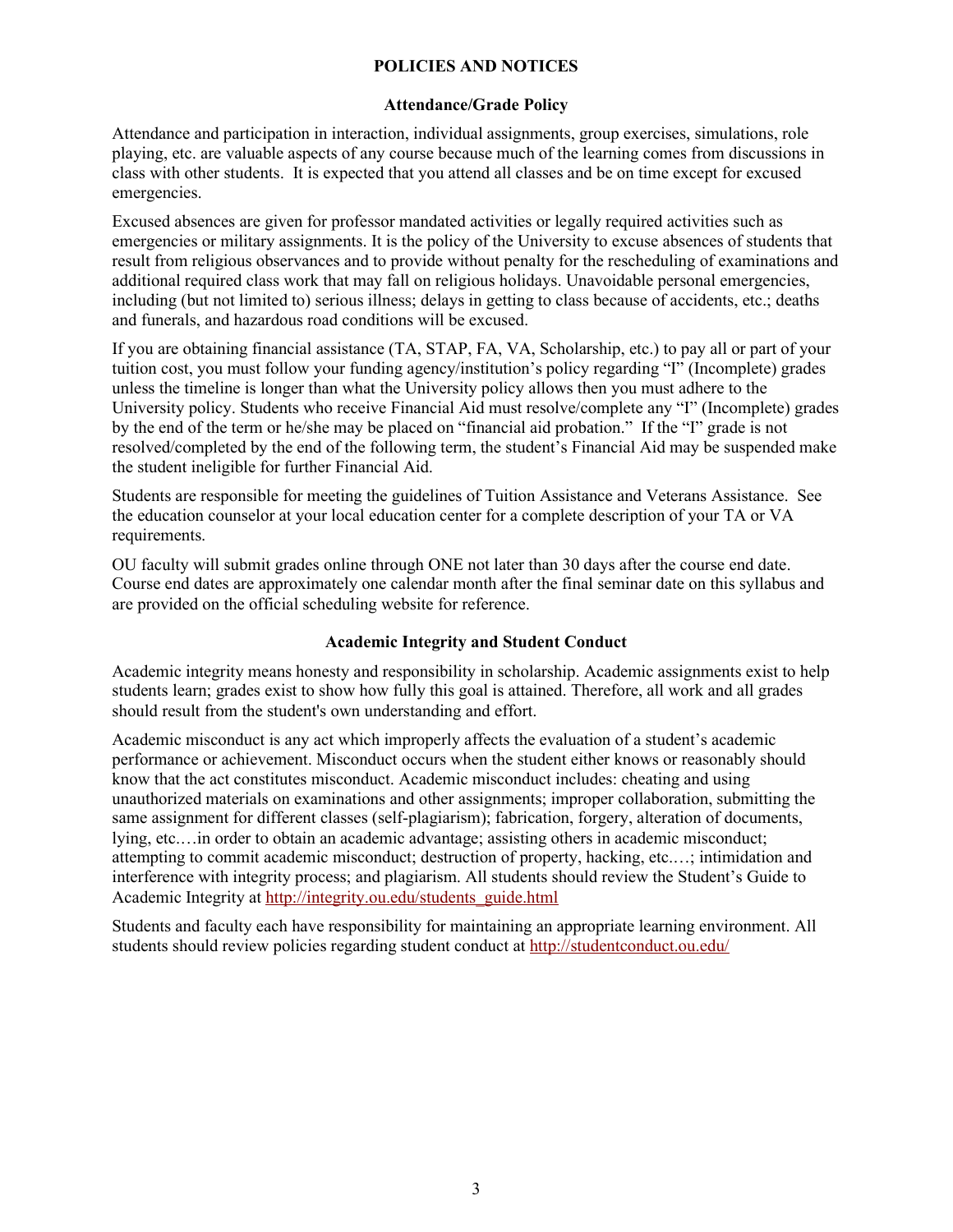## **POLICIES AND NOTICES**

#### **Attendance/Grade Policy**

Attendance and participation in interaction, individual assignments, group exercises, simulations, role playing, etc. are valuable aspects of any course because much of the learning comes from discussions in class with other students. It is expected that you attend all classes and be on time except for excused emergencies.

Excused absences are given for professor mandated activities or legally required activities such as emergencies or military assignments. It is the policy of the University to excuse absences of students that result from religious observances and to provide without penalty for the rescheduling of examinations and additional required class work that may fall on religious holidays. Unavoidable personal emergencies, including (but not limited to) serious illness; delays in getting to class because of accidents, etc.; deaths and funerals, and hazardous road conditions will be excused.

If you are obtaining financial assistance (TA, STAP, FA, VA, Scholarship, etc.) to pay all or part of your tuition cost, you must follow your funding agency/institution's policy regarding "I" (Incomplete) grades unless the timeline is longer than what the University policy allows then you must adhere to the University policy. Students who receive Financial Aid must resolve/complete any "I" (Incomplete) grades by the end of the term or he/she may be placed on "financial aid probation." If the "I" grade is not resolved/completed by the end of the following term, the student's Financial Aid may be suspended make the student ineligible for further Financial Aid.

Students are responsible for meeting the guidelines of Tuition Assistance and Veterans Assistance. See the education counselor at your local education center for a complete description of your TA or VA requirements.

OU faculty will submit grades online through ONE not later than 30 days after the course end date. Course end dates are approximately one calendar month after the final seminar date on this syllabus and are provided on the official scheduling website for reference.

#### **Academic Integrity and Student Conduct**

Academic integrity means honesty and responsibility in scholarship. Academic assignments exist to help students learn; grades exist to show how fully this goal is attained. Therefore, all work and all grades should result from the student's own understanding and effort.

Academic misconduct is any act which improperly affects the evaluation of a student's academic performance or achievement. Misconduct occurs when the student either knows or reasonably should know that the act constitutes misconduct. Academic misconduct includes: cheating and using unauthorized materials on examinations and other assignments; improper collaboration, submitting the same assignment for different classes (self-plagiarism); fabrication, forgery, alteration of documents, lying, etc.…in order to obtain an academic advantage; assisting others in academic misconduct; attempting to commit academic misconduct; destruction of property, hacking, etc.…; intimidation and interference with integrity process; and plagiarism. All students should review the Student's Guide to Academic Integrity at [http://integrity.ou.edu/students\\_guide.html](http://integrity.ou.edu/students_guide.html)

Students and faculty each have responsibility for maintaining an appropriate learning environment. All students should review policies regarding student conduct at<http://studentconduct.ou.edu/>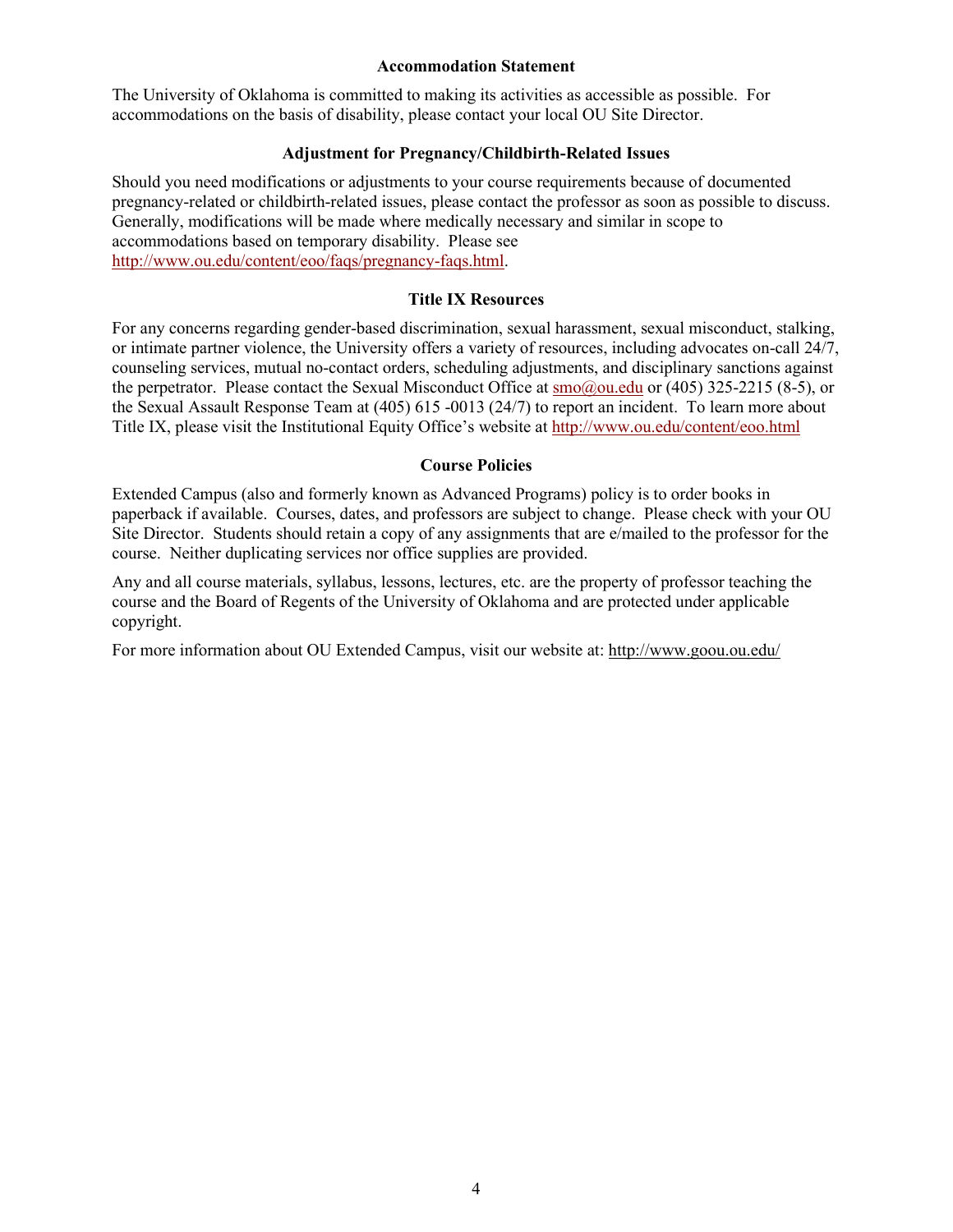#### **Accommodation Statement**

The University of Oklahoma is committed to making its activities as accessible as possible. For accommodations on the basis of disability, please contact your local OU Site Director.

#### **Adjustment for Pregnancy/Childbirth-Related Issues**

Should you need modifications or adjustments to your course requirements because of documented pregnancy-related or childbirth-related issues, please contact the professor as soon as possible to discuss. Generally, modifications will be made where medically necessary and similar in scope to accommodations based on temporary disability. Please see [http://www.ou.edu/content/eoo/faqs/pregnancy-faqs.html.](http://www.ou.edu/content/eoo/faqs/pregnancy-faqs.html)

#### **Title IX Resources**

For any concerns regarding gender-based discrimination, sexual harassment, sexual misconduct, stalking, or intimate partner violence, the University offers a variety of resources, including advocates on-call 24/7, counseling services, mutual no-contact orders, scheduling adjustments, and disciplinary sanctions against the perpetrator. Please contact the Sexual Misconduct Office at [smo@ou.edu](mailto:smo@ou.edu) or (405) 325-2215 (8-5), or the Sexual Assault Response Team at (405) 615 -0013 (24/7) to report an incident. To learn more about Title IX, please visit the Institutional Equity Office's website at<http://www.ou.edu/content/eoo.html>

#### **Course Policies**

Extended Campus (also and formerly known as Advanced Programs) policy is to order books in paperback if available. Courses, dates, and professors are subject to change. Please check with your OU Site Director. Students should retain a copy of any assignments that are e/mailed to the professor for the course. Neither duplicating services nor office supplies are provided.

Any and all course materials, syllabus, lessons, lectures, etc. are the property of professor teaching the course and the Board of Regents of the University of Oklahoma and are protected under applicable copyright.

For more information about OU Extended Campus, visit our website at:<http://www.goou.ou.edu/>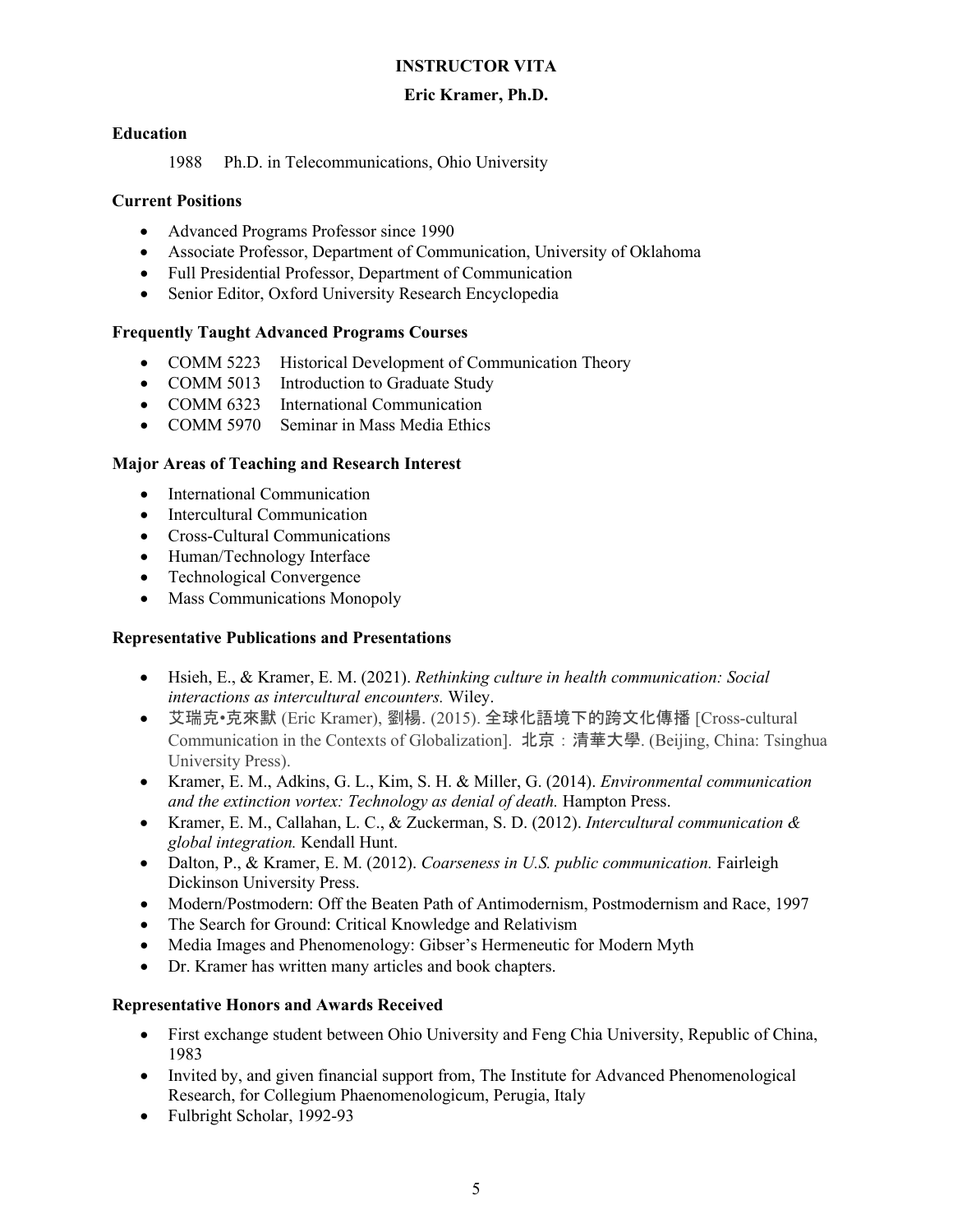## **INSTRUCTOR VITA**

## **Eric Kramer, Ph.D.**

## **Education**

1988 Ph.D. in Telecommunications, Ohio University

## **Current Positions**

- Advanced Programs Professor since 1990
- Associate Professor, Department of Communication, University of Oklahoma
- Full Presidential Professor, Department of Communication
- Senior Editor, Oxford University Research Encyclopedia

## **Frequently Taught Advanced Programs Courses**

- COMM 5223 Historical Development of Communication Theory
- COMM 5013 Introduction to Graduate Study
- COMM 6323 International Communication
- COMM 5970 Seminar in Mass Media Ethics

## **Major Areas of Teaching and Research Interest**

- International Communication
- Intercultural Communication
- Cross-Cultural Communications
- Human/Technology Interface
- Technological Convergence
- Mass Communications Monopoly

#### **Representative Publications and Presentations**

- Hsieh, E., & Kramer, E. M. (2021). *Rethinking culture in health communication: Social interactions as intercultural encounters.* Wiley.
- 艾瑞克•克來默 (Eric Kramer), 劉楊. (2015). 全球化語境下的跨文化傳播 [Cross-cultural Communication in the Contexts of Globalization]. 北京:清華大學. (Beijing, China: Tsinghua University Press).
- Kramer, E. M., Adkins, G. L., Kim, S. H. & Miller, G. (2014). *Environmental communication and the extinction vortex: Technology as denial of death.* Hampton Press.
- Kramer, E. M., Callahan, L. C., & Zuckerman, S. D. (2012). *Intercultural communication & global integration.* Kendall Hunt.
- Dalton, P., & Kramer, E. M. (2012). *Coarseness in U.S. public communication.* Fairleigh Dickinson University Press.
- Modern/Postmodern: Off the Beaten Path of Antimodernism, Postmodernism and Race, 1997
- The Search for Ground: Critical Knowledge and Relativism
- Media Images and Phenomenology: Gibser's Hermeneutic for Modern Myth
- Dr. Kramer has written many articles and book chapters.

## **Representative Honors and Awards Received**

- First exchange student between Ohio University and Feng Chia University, Republic of China, 1983
- Invited by, and given financial support from, The Institute for Advanced Phenomenological Research, for Collegium Phaenomenologicum, Perugia, Italy
- Fulbright Scholar, 1992-93